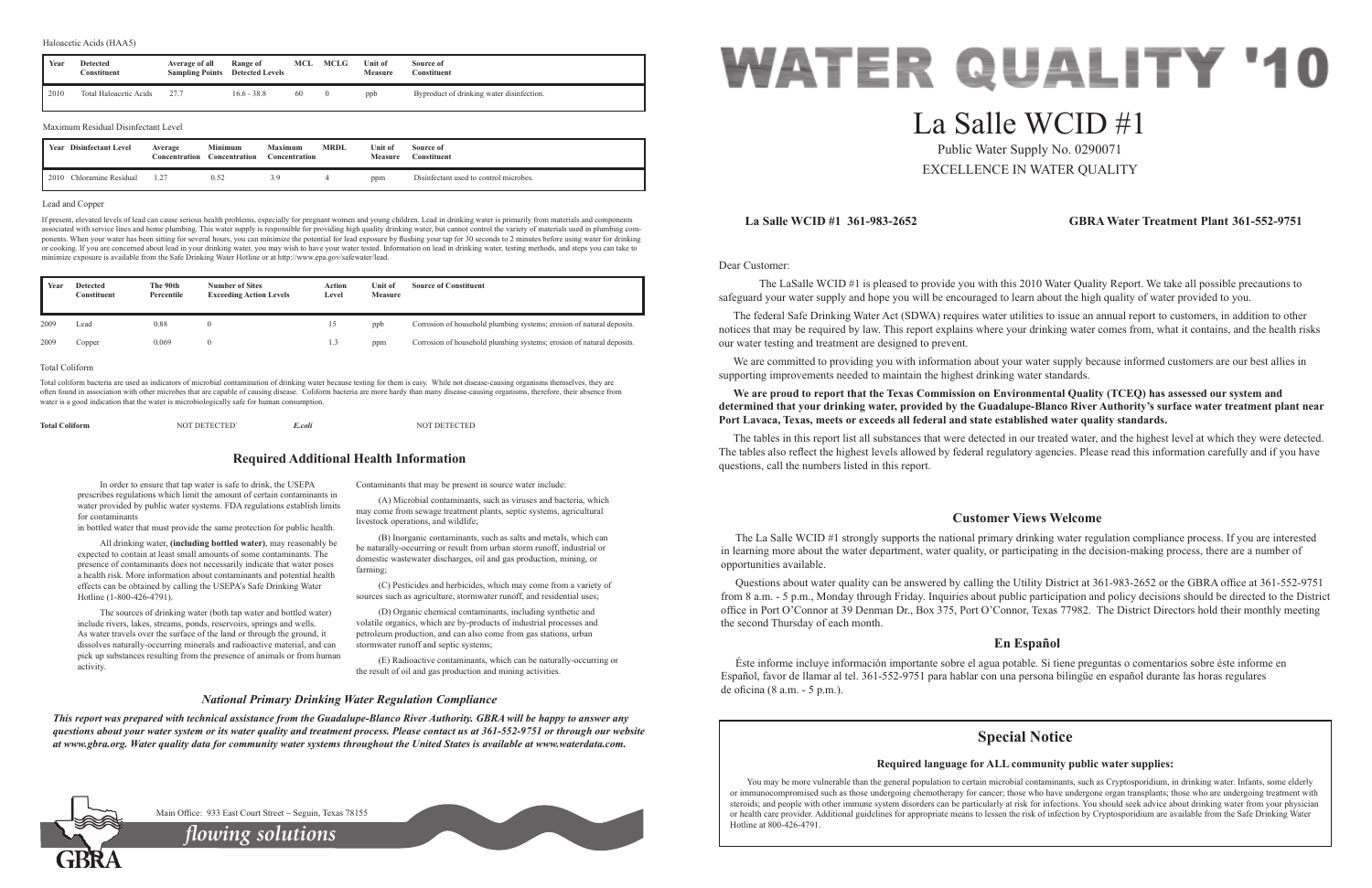Dear Customer:

 The LaSalle WCID #1 is pleased to provide you with this 2010 Water Quality Report. We take all possible precautions to safeguard your water supply and hope you will be encouraged to learn about the high quality of water provided to you.

We are committed to providing you with information about your water supply because informed customers are our best allies in supporting improvements needed to maintain the highest drinking water standards.

The federal Safe Drinking Water Act (SDWA) requires water utilities to issue an annual report to customers, in addition to other notices that may be required by law. This report explains where your drinking water comes from, what it contains, and the health risks our water testing and treatment are designed to prevent.

**We are proud to report that the Texas Commission on Environmental Quality (TCEQ) has assessed our system and determined that your drinking water, provided by the Guadalupe-Blanco River Authority's surface water treatment plant near Port Lavaca, Texas, meets or exceeds all federal and state established water quality standards.**

The tables in this report list all substances that were detected in our treated water, and the highest level at which they were detected. The tables also reflect the highest levels allowed by federal regulatory agencies. Please read this information carefully and if you have questions, call the numbers listed in this report.

# **La Salle WCID #1 361-983-2652 GBRA Water Treatment Plant 361-552-9751**

# **Customer Views Welcome**

The La Salle WCID #1 strongly supports the national primary drinking water regulation compliance process. If you are interested in learning more about the water department, water quality, or participating in the decision-making process, there are a number of opportunities available.

Questions about water quality can be answered by calling the Utility District at 361-983-2652 or the GBRA office at 361-552-9751 from 8 a.m. - 5 p.m., Monday through Friday. Inquiries about public participation and policy decisions should be directed to the District office in Port O'Connor at 39 Denman Dr., Box 375, Port O'Connor, Texas 77982. The District Directors hold their monthly meeting the second Thursday of each month.

# **En Español**

Éste informe incluye información importante sobre el agua potable. Si tiene preguntas o comentarios sobre éste informe en Español, favor de llamar al tel. 361-552-9751 para hablar con una persona bilingüe en español durante las horas regulares de oficina (8 a.m. - 5 p.m.).

In order to ensure that tap water is safe to drink, the USEPA prescribes regulations which limit the amount of certain contaminants in water provided by public water systems. FDA regulations establish limits for contaminants

in bottled water that must provide the same protection for public health.

All drinking water, **(including bottled water)**, may reasonably be expected to contain at least small amounts of some contaminants. The presence of contaminants does not necessarily indicate that water poses a health risk. More information about contaminants and potential health effects can be obtained by calling the USEPA's Safe Drinking Water Hotline (1-800-426-4791).

The sources of drinking water (both tap water and bottled water) include rivers, lakes, streams, ponds, reservoirs, springs and wells. As water travels over the surface of the land or through the ground, it dissolves naturally-occurring minerals and radioactive material, and can pick up substances resulting from the presence of animals or from human activity.

Contaminants that may be present in source water include:

(A) Microbial contaminants, such as viruses and bacteria, which may come from sewage treatment plants, septic systems, agricultural livestock operations, and wildlife;

(B) Inorganic contaminants, such as salts and metals, which can be naturally-occurring or result from urban storm runoff, industrial or domestic wastewater discharges, oil and gas production, mining, or farming;

> You may be more vulnerable than the general population to certain microbial contaminants, such as Cryptosporidium, in drinking water. Infants, some elderly or immunocompromised such as those undergoing chemotherapy for cancer; those who have undergone organ transplants; those who are undergoing treatment with steroids; and people with other immune system disorders can be particularly at risk for infections. You should seek advice about drinking water from your physician or health care provider. Additional guidelines for appropriate means to lessen the risk of infection by Cryptosporidium are available from the Safe Drinking Water Hotline at 800-426-4791.



(C) Pesticides and herbicides, which may come from a variety of sources such as agriculture, stormwater runoff, and residential uses;

(D) Organic chemical contaminants, including synthetic and volatile organics, which are by-products of industrial processes and petroleum production, and can also come from gas stations, urban stormwater runoff and septic systems;

(E) Radioactive contaminants, which can be naturally-occurring or the result of oil and gas production and mining activities.

# **Required Additional Health Information**

# *National Primary Drinking Water Regulation Compliance*

*This report was prepared with technical assistance from the Guadalupe-Blanco River Authority. GBRA will be happy to answer any questions about your water system or its water quality and treatment process. Please contact us at 361-552-9751 or through our website at www.gbra.org. Water quality data for community water systems throughout the United States is available at www.waterdata.com.*



# La Salle WCID #1

Public Water Supply No. 0290071 EXCELLENCE IN WATER QUALITY

## Lead and Copper

If present, elevated levels of lead can cause serious health problems, especially for pregnant women and young children. Lead in drinking water is primarily from materials and components associated with service lines and home plumbing. This water supply is responsible for providing high quality drinking water, but cannot control the variety of materials used in plumbing components. When your water has been sitting for several hours, you can minimize the potential for lead exposure by flushing your tap for 30 seconds to 2 minutes before using water for drinking or cooking. If you are concerned about lead in your drinking water, you may wish to have your water tested. Information on lead in drinking water, testing methods, and steps you can take to minimize exposure is available from the Safe Drinking Water Hotline or at http://www.epa.gov/safewater/lead.

| <b>Total Coliform</b> | <b>NOT DETECTED'</b> | $\cdots$<br>E.coli | <b>NOT DETECTED</b> |
|-----------------------|----------------------|--------------------|---------------------|
|                       |                      |                    |                     |

2010 Chloramine Residual 1.27 0.52 3.9 4 ppm Disinfectant used to control microbes.

| Year | <b>Detected</b><br>Constituent      | Average of all<br><b>Sampling Points</b> | Range of<br><b>Detected Levels</b>     | MCL                                    | <b>MCLG</b>    | Unit of<br><b>Measure</b> | Source of<br>Constituent                  |
|------|-------------------------------------|------------------------------------------|----------------------------------------|----------------------------------------|----------------|---------------------------|-------------------------------------------|
| 2010 | Total Haloacetic Acids              | 27.7                                     | $16.6 - 38.8$                          | 60                                     | $\overline{0}$ | ppb                       | Byproduct of drinking water disinfection. |
|      | Maximum Residual Disinfectant Level |                                          |                                        |                                        |                |                           |                                           |
|      | <b>Year</b> Disinfectant Level      | Average<br>Concentration                 | <b>Minimum</b><br><b>Concentration</b> | <b>Maximum</b><br><b>Concentration</b> | <b>MRDL</b>    | Unit of<br><b>Measure</b> | Source of<br><b>Constituent</b>           |

| Year | <b>Detected</b><br>Constituent | The 90th<br>Percentile | <b>Number of Sites</b><br><b>Exceeding Action Levels</b> | Action<br>Level | Unit of<br><b>Measure</b> | <b>Source of Constituent</b>                                          |
|------|--------------------------------|------------------------|----------------------------------------------------------|-----------------|---------------------------|-----------------------------------------------------------------------|
| 2009 | Lead                           | 0.88                   |                                                          | 15              | ppb                       | Corrosion of household plumbing systems; erosion of natural deposits. |
| 2009 | Copper                         | 0.069                  |                                                          | 1.3             | ppm                       | Corrosion of household plumbing systems; erosion of natural deposits. |

## Total Coliform

Total coliform bacteria are used as indicators of microbial contamination of drinking water because testing for them is easy. While not disease-causing organisms themselves, they are often found in association with other microbes that are capable of causing disease. Coliform bacteria are more hardy than many disease-causing organisms, therefore, their absence from water is a good indication that the water is microbiologically safe for human consumption.

*flowing solutions*

Main Office: 933 East Court Street ~ Seguin, Texas 78155

# **Special Notice**

# **Required language for ALL community public water supplies:**